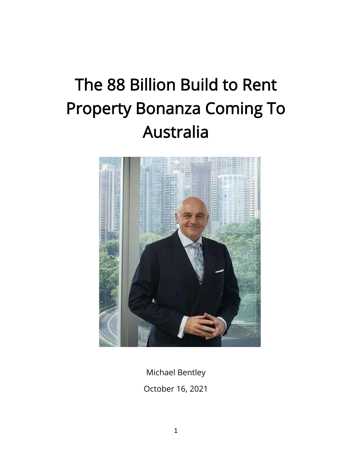# The 88 Billion Build to Rent Property Bonanza Coming To Australia



Michael Bentley October 16, 2021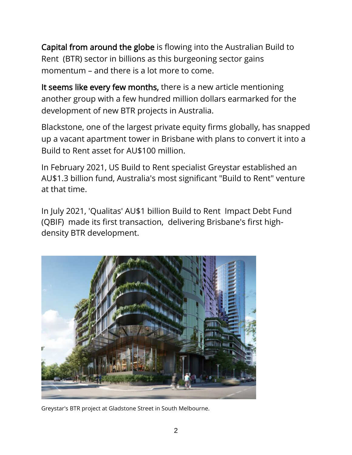Capital from around the globe is flowing into the Australian Build to Rent (BTR) sector in billions as this burgeoning sector gains momentum – and there is a lot more to come.

It seems like every few months, there is a new article mentioning another group with a few hundred million dollars earmarked for the development of new BTR projects in Australia.

Blackstone, one of the largest private equity firms globally, has snapped up a vacant apartment tower in Brisbane with plans to convert it into a Build to Rent asset for AU\$100 million.

In February 2021, US Build to Rent specialist Greystar established an AU\$1.3 billion fund, Australia's most significant "Build to Rent" venture at that time.

In July 2021, 'Qualitas' AU\$1 billion Build to Rent Impact Debt Fund (QBIF) made its first transaction, delivering Brisbane's first highdensity BTR development.



Greystar's BTR project at Gladstone Street in South Melbourne.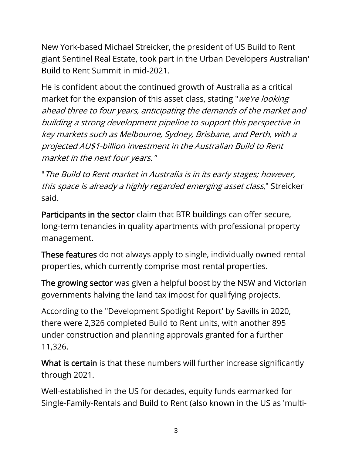New York-based Michael Streicker, the president of US Build to Rent giant Sentinel Real Estate, took part in the Urban Developers Australian' Build to Rent Summit in mid-2021.

He is confident about the continued growth of Australia as a critical market for the expansion of this asset class, stating "we're looking ahead three to four years, anticipating the demands of the market and building a strong development pipeline to support this perspective in key markets such as Melbourne, Sydney, Brisbane, and Perth, with a projected AU\$1-billion investment in the Australian Build to Rent market in the next four years."

"The Build to Rent market in Australia is in its early stages; however, this space is already a highly regarded emerging asset class," Streicker said.

Participants in the sector claim that BTR buildings can offer secure, long-term tenancies in quality apartments with professional property management.

These features do not always apply to single, individually owned rental properties, which currently comprise most rental properties.

The growing sector was given a helpful boost by the NSW and Victorian governments halving the land tax impost for qualifying projects.

According to the "Development Spotlight Report' by Savills in 2020, there were 2,326 completed Build to Rent units, with another 895 under construction and planning approvals granted for a further 11,326.

What is certain is that these numbers will further increase significantly through 2021.

Well-established in the US for decades, equity funds earmarked for Single-Family-Rentals and Build to Rent (also known in the US as 'multi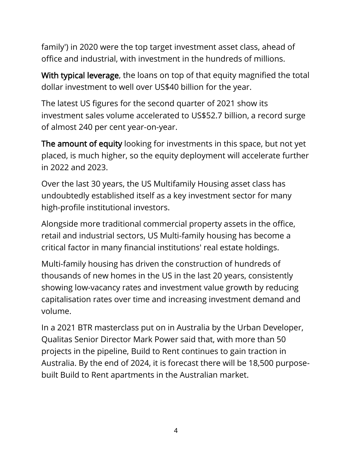family') in 2020 were the top target investment asset class, ahead of office and industrial, with investment in the hundreds of millions.

With typical leverage, the loans on top of that equity magnified the total dollar investment to well over US\$40 billion for the year.

The latest US figures for the second quarter of 2021 show its investment sales volume accelerated to US\$52.7 billion, a record surge of almost 240 per cent year-on-year.

The amount of equity looking for investments in this space, but not yet placed, is much higher, so the equity deployment will accelerate further in 2022 and 2023.

Over the last 30 years, the US Multifamily Housing asset class has undoubtedly established itself as a key investment sector for many high-profile institutional investors.

Alongside more traditional commercial property assets in the office, retail and industrial sectors, US Multi-family housing has become a critical factor in many financial institutions' real estate holdings.

Multi-family housing has driven the construction of hundreds of thousands of new homes in the US in the last 20 years, consistently showing low-vacancy rates and investment value growth by reducing capitalisation rates over time and increasing investment demand and volume.

In a 2021 BTR masterclass put on in Australia by the Urban Developer, Qualitas Senior Director Mark Power said that, with more than 50 projects in the pipeline, Build to Rent continues to gain traction in Australia. By the end of 2024, it is forecast there will be 18,500 purposebuilt Build to Rent apartments in the Australian market.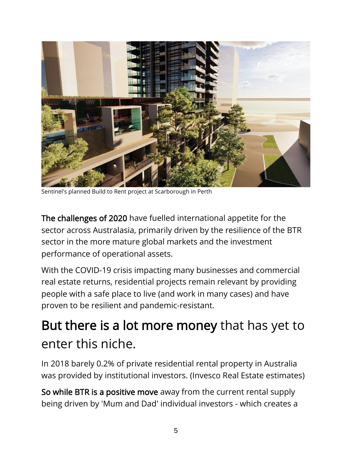

Sentinel's planned Build to Rent project at Scarborough in Perth

The challenges of 2020 have fuelled international appetite for the sector across Australasia, primarily driven by the resilience of the BTR sector in the more mature global markets and the investment performance of operational assets.

With the COVID-19 crisis impacting many businesses and commercial real estate returns, residential projects remain relevant by providing people with a safe place to live (and work in many cases) and have proven to be resilient and pandemic-resistant.

#### But there is a lot more money that has yet to enter this niche.

In 2018 barely 0.2% of private residential rental property in Australia was provided by institutional investors. (Invesco Real Estate estimates)

So while BTR is a positive move away from the current rental supply being driven by 'Mum and Dad' individual investors - which creates a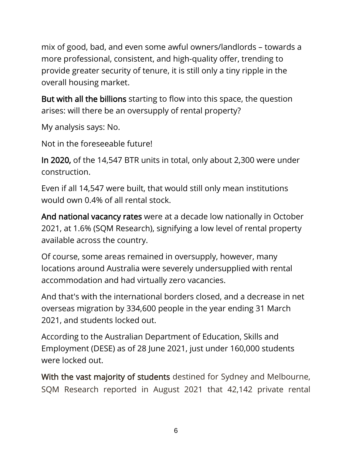mix of good, bad, and even some awful owners/landlords – towards a more professional, consistent, and high-quality offer, trending to provide greater security of tenure, it is still only a tiny ripple in the overall housing market.

But with all the billions starting to flow into this space, the question arises: will there be an oversupply of rental property?

My analysis says: No.

Not in the foreseeable future!

In 2020, of the 14,547 BTR units in total, only about 2,300 were under construction.

Even if all 14,547 were built, that would still only mean institutions would own 0.4% of all rental stock.

And national vacancy rates were at a decade low nationally in October 2021, at 1.6% (SQM Research), signifying a low level of rental property available across the country.

Of course, some areas remained in oversupply, however, many locations around Australia were severely undersupplied with rental accommodation and had virtually zero vacancies.

And that's with the international borders closed, and a decrease in net overseas migration by 334,600 people in the year ending 31 March 2021, and students locked out.

According to the Australian Department of Education, Skills and Employment (DESE) as of 28 June 2021, just under 160,000 students were locked out.

With the vast majority of students destined for Sydney and Melbourne, SQM Research reported in August 2021 that 42,142 private rental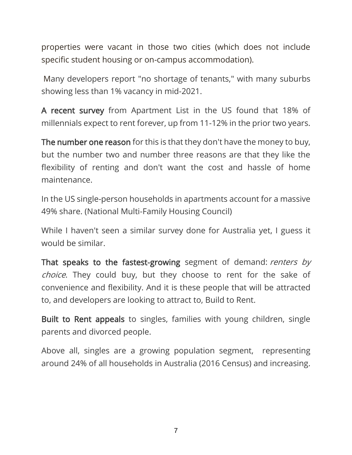properties were vacant in those two cities (which does not include specific student housing or on-campus accommodation).

Many developers report "no shortage of tenants," with many suburbs showing less than 1% vacancy in mid-2021.

A recent survey from Apartment List in the US found that 18% of millennials expect to rent forever, up from 11-12% in the prior two years.

The number one reason for this is that they don't have the money to buy, but the number two and number three reasons are that they like the flexibility of renting and don't want the cost and hassle of home maintenance.

In the US single-person households in apartments account for a massive 49% share. (National Multi-Family Housing Council)

While I haven't seen a similar survey done for Australia yet, I guess it would be similar.

That speaks to the fastest-growing segment of demand: renters by choice. They could buy, but they choose to rent for the sake of convenience and flexibility. And it is these people that will be attracted to, and developers are looking to attract to, Build to Rent.

Built to Rent appeals to singles, families with young children, single parents and divorced people.

Above all, singles are a growing population segment, representing around 24% of all households in Australia (2016 Census) and increasing.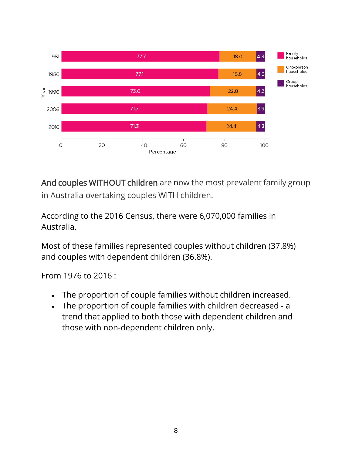

And couples WITHOUT children are now the most prevalent family group in Australia overtaking couples WITH children.

According to the 2016 Census, there were 6,070,000 families in Australia.

Most of these families represented couples without children (37.8%) and couples with dependent children (36.8%).

From 1976 to 2016 :

- The proportion of couple families without children increased.
- The proportion of couple families with children decreased a trend that applied to both those with dependent children and those with non-dependent children only.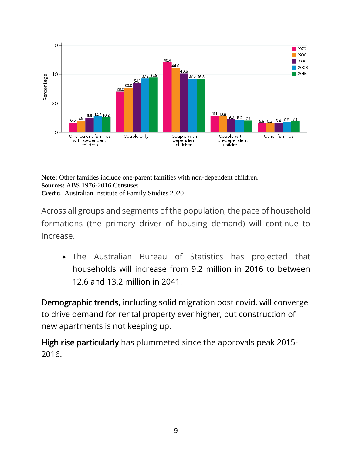

**Note:** Other families include one-parent families with non-dependent children. **Sources:** ABS 1976-2016 Censuses **Credit:** Australian Institute of Family Studies 2020

Across all groups and segments of the population, the pace of household formations (the primary driver of housing demand) will continue to increase.

• The Australian Bureau of Statistics has projected that households will increase from 9.2 million in 2016 to between 12.6 and 13.2 million in 2041.

Demographic trends, including solid migration post covid, will converge to drive demand for rental property ever higher, but construction of new apartments is not keeping up.

High rise particularly has plummeted since the approvals peak 2015- 2016.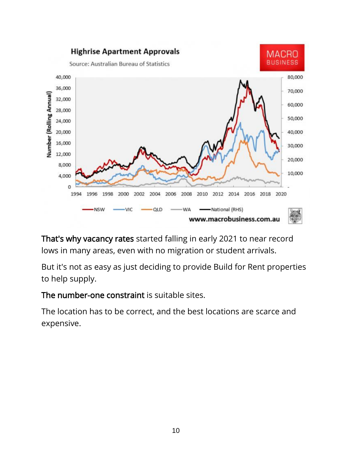

That's why vacancy rates started falling in early 2021 to near record lows in many areas, even with no migration or student arrivals.

But it's not as easy as just deciding to provide Build for Rent properties to help supply.

The number-one constraint is suitable sites.

The location has to be correct, and the best locations are scarce and expensive.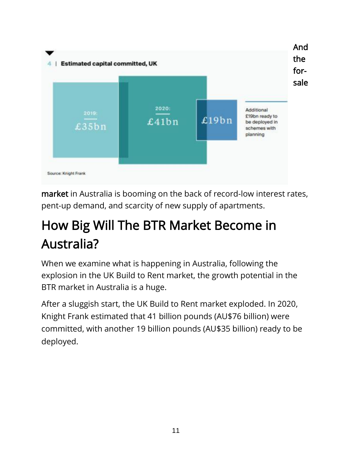

market in Australia is booming on the back of record-low interest rates, pent-up demand, and scarcity of new supply of apartments.

## How Big Will The BTR Market Become in Australia?

When we examine what is happening in Australia, following the explosion in the UK Build to Rent market, the growth potential in the BTR market in Australia is a huge.

After a sluggish start, the UK Build to Rent market exploded. In 2020, Knight Frank estimated that 41 billion pounds (AU\$76 billion) were committed, with another 19 billion pounds (AU\$35 billion) ready to be deployed.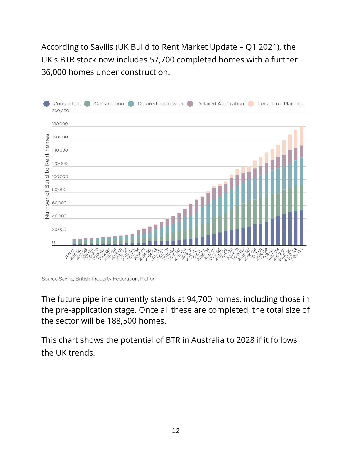According to Savills (UK Build to Rent Market Update – Q1 2021), the UK's BTR stock now includes 57,700 completed homes with a further 36,000 homes under construction.



Source Savills, British Property Federation, Molior

The future pipeline currently stands at 94,700 homes, including those in the pre-application stage. Once all these are completed, the total size of the sector will be 188,500 homes.

This chart shows the potential of BTR in Australia to 2028 if it follows the UK trends.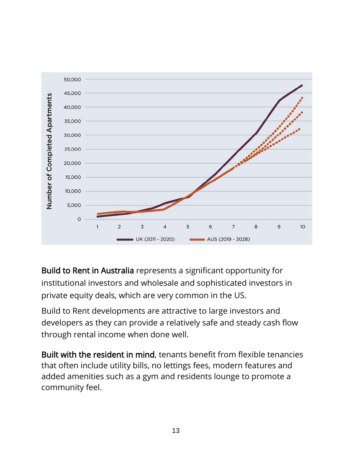

Build to Rent in Australia represents a significant opportunity for institutional investors and wholesale and sophisticated investors in private equity deals, which are very common in the US.

Build to Rent developments are attractive to large investors and developers as they can provide a relatively safe and steady cash flow through rental income when done well.

Built with the resident in mind, tenants benefit from flexible tenancies that often include utility bills, no lettings fees, modern features and added amenities such as a gym and residents lounge to promote a community feel.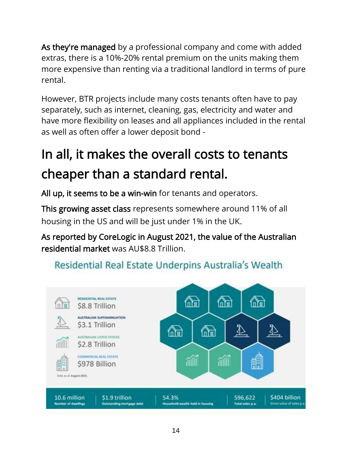As they're managed by a professional company and come with added extras, there is a 10%-20% rental premium on the units making them more expensive than renting via a traditional landlord in terms of pure rental.

However, BTR projects include many costs tenants often have to pay separately, such as internet, cleaning, gas, electricity and water and have more flexibility on leases and all appliances included in the rental as well as often offer a lower deposit bond -

## In all, it makes the overall costs to tenants cheaper than a standard rental.

All up, it seems to be a win-win for tenants and operators.

This growing asset class represents somewhere around 11% of all housing in the US and will be just under 1% in the UK.

As reported by CoreLogic in August 2021, the value of the Australian residential market was AU\$8.8 Trillion.

#### Residential Real Estate Underpins Australia's Wealth

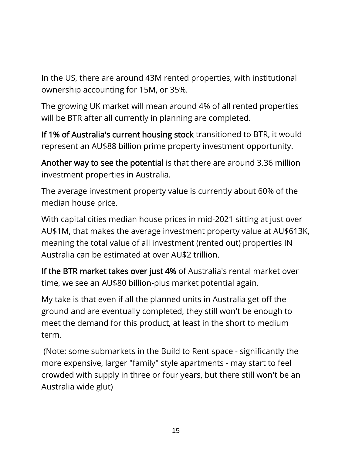In the US, there are around 43M rented properties, with institutional ownership accounting for 15M, or 35%.

The growing UK market will mean around 4% of all rented properties will be BTR after all currently in planning are completed.

If 1% of Australia's current housing stock transitioned to BTR, it would represent an AU\$88 billion prime property investment opportunity.

Another way to see the potential is that there are around 3.36 million investment properties in Australia.

The average investment property value is currently about 60% of the median house price.

With capital cities median house prices in mid-2021 sitting at just over AU\$1M, that makes the average investment property value at AU\$613K, meaning the total value of all investment (rented out) properties IN Australia can be estimated at over AU\$2 trillion.

If the BTR market takes over just 4% of Australia's rental market over time, we see an AU\$80 billion-plus market potential again.

My take is that even if all the planned units in Australia get off the ground and are eventually completed, they still won't be enough to meet the demand for this product, at least in the short to medium term.

(Note: some submarkets in the Build to Rent space - significantly the more expensive, larger "family" style apartments - may start to feel crowded with supply in three or four years, but there still won't be an Australia wide glut)